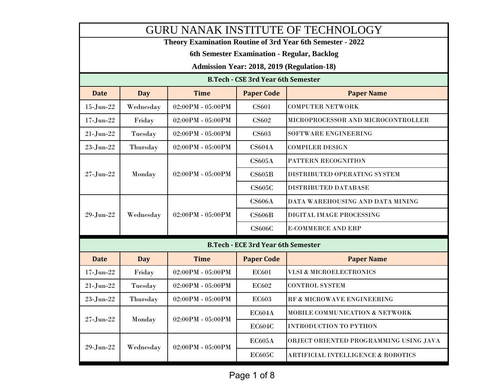| <b>GURU NANAK INSTITUTE OF TECHNOLOGY</b>                  |                                                                     |                     |                                           |                                            |  |  |  |
|------------------------------------------------------------|---------------------------------------------------------------------|---------------------|-------------------------------------------|--------------------------------------------|--|--|--|
| Theory Examination Routine of 3rd Year 6th Semester - 2022 |                                                                     |                     |                                           |                                            |  |  |  |
| 6th Semester Examination - Regular, Backlog                |                                                                     |                     |                                           |                                            |  |  |  |
|                                                            |                                                                     |                     |                                           | Admission Year: 2018, 2019 (Regulation-18) |  |  |  |
|                                                            | <b>B.Tech - CSE 3rd Year 6th Semester</b>                           |                     |                                           |                                            |  |  |  |
| <b>Date</b>                                                | <b>Time</b><br><b>Paper Code</b><br><b>Paper Name</b><br><b>Day</b> |                     |                                           |                                            |  |  |  |
| $15$ -Jun- $22$                                            | Wednesday                                                           | $02:00PM - 05:00PM$ | <b>CS601</b>                              | <b>COMPUTER NETWORK</b>                    |  |  |  |
| $17 - Jun-22$                                              | Friday                                                              | $02:00PM - 05:00PM$ | CS602                                     | MICROPROCESSOR AND MICROCONTROLLER         |  |  |  |
| $21$ -Jun- $22$                                            | Tuesday                                                             | $02:00PM - 05:00PM$ | <b>CS603</b>                              | SOFTWARE ENGINEERING                       |  |  |  |
| 23-Jun-22                                                  | Thursday                                                            | $02:00PM - 05:00PM$ | <b>CS604A</b>                             | <b>COMPILER DESIGN</b>                     |  |  |  |
|                                                            | Monday                                                              | 02:00PM - 05:00PM   | CS605A                                    | PATTERN RECOGNITION                        |  |  |  |
| $27 - Jun-22$                                              |                                                                     |                     | CS605B                                    | DISTRIBUTED OPERATING SYSTEM               |  |  |  |
|                                                            |                                                                     |                     | <b>CS605C</b>                             | <b>DISTRIBUTED DATABASE</b>                |  |  |  |
|                                                            |                                                                     | $02:00PM - 05:00PM$ | CS606A                                    | DATA WAREHOUSING AND DATA MINING           |  |  |  |
| 29-Jun-22                                                  | Wednesday                                                           |                     | CS606B                                    | DIGITAL IMAGE PROCESSING                   |  |  |  |
|                                                            |                                                                     |                     | <b>CS606C</b>                             | <b>E-COMMERCE AND ERP</b>                  |  |  |  |
|                                                            |                                                                     |                     | <b>B.Tech - ECE 3rd Year 6th Semester</b> |                                            |  |  |  |
| <b>Date</b>                                                | <b>Day</b>                                                          | <b>Time</b>         | <b>Paper Code</b>                         | <b>Paper Name</b>                          |  |  |  |
| $17 - Jun-22$                                              | Friday                                                              | $02:00PM - 05:00PM$ | <b>EC601</b>                              | <b>VLSI &amp; MICROELECTRONICS</b>         |  |  |  |
| $21-Jun-22$                                                | Tuesday                                                             | $02:00PM - 05:00PM$ | EC602                                     | <b>CONTROL SYSTEM</b>                      |  |  |  |
| $23$ -Jun- $22$                                            | Thursday                                                            | $02:00PM - 05:00PM$ | <b>EC603</b>                              | RF & MICROWAVE ENGINEERING                 |  |  |  |
| $27 - Jun-22$                                              | Monday                                                              | $02:00PM - 05:00PM$ | EC604A                                    | MOBILE COMMUNICATION & NETWORK             |  |  |  |
|                                                            |                                                                     |                     | <b>EC604C</b>                             | <b>INTRODUCTION TO PYTHON</b>              |  |  |  |
| $29$ -Jun- $22$                                            |                                                                     | $02:00PM - 05:00PM$ | EC605A                                    | OBJECT ORIENTED PROGRAMMING USING JAVA     |  |  |  |
|                                                            | Wednesday                                                           |                     | <b>EC605C</b>                             | ARTIFICIAL INTELLIGENCE & ROBOTICS         |  |  |  |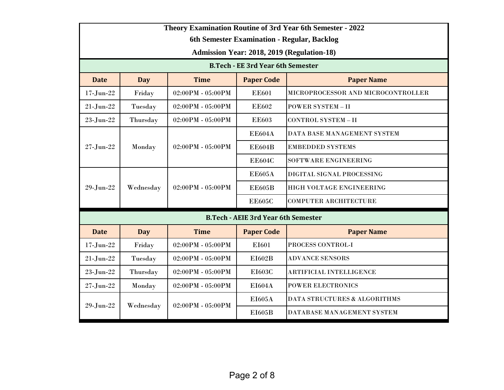|                                             | Theory Examination Routine of 3rd Year 6th Semester - 2022          |                     |                                            |                                    |  |  |  |
|---------------------------------------------|---------------------------------------------------------------------|---------------------|--------------------------------------------|------------------------------------|--|--|--|
| 6th Semester Examination - Regular, Backlog |                                                                     |                     |                                            |                                    |  |  |  |
| Admission Year: 2018, 2019 (Regulation-18)  |                                                                     |                     |                                            |                                    |  |  |  |
|                                             |                                                                     |                     | <b>B.Tech - EE 3rd Year 6th Semester</b>   |                                    |  |  |  |
| <b>Date</b>                                 | <b>Time</b><br><b>Day</b><br><b>Paper Code</b><br><b>Paper Name</b> |                     |                                            |                                    |  |  |  |
| $17 - Jun-22$                               | Friday                                                              | 02:00PM - 05:00PM   | <b>EE601</b>                               | MICROPROCESSOR AND MICROCONTROLLER |  |  |  |
| $21-Jun-22$                                 | Tuesday                                                             | $02:00PM - 05:00PM$ | <b>EE602</b>                               | <b>POWER SYSTEM-II</b>             |  |  |  |
| $23$ -Jun- $22$                             | Thursday                                                            | 02:00PM - 05:00PM   | <b>EE603</b>                               | CONTROL SYSTEM - II                |  |  |  |
|                                             |                                                                     | 02:00PM - 05:00PM   | <b>EE604A</b>                              | DATA BASE MANAGEMENT SYSTEM        |  |  |  |
| $27 - Jun-22$                               | Monday                                                              |                     | <b>EE604B</b>                              | <b>EMBEDDED SYSTEMS</b>            |  |  |  |
|                                             |                                                                     |                     | <b>EE604C</b>                              | <b>SOFTWARE ENGINEERING</b>        |  |  |  |
|                                             | Wednesday                                                           | $02:00PM - 05:00PM$ | <b>EE605A</b>                              | DIGITAL SIGNAL PROCESSING          |  |  |  |
| 29-Jun-22                                   |                                                                     |                     | <b>EE605B</b>                              | HIGH VOLTAGE ENGINEERING           |  |  |  |
|                                             |                                                                     |                     | <b>EE605C</b>                              | <b>COMPUTER ARCHITECTURE</b>       |  |  |  |
|                                             |                                                                     |                     | <b>B.Tech - AEIE 3rd Year 6th Semester</b> |                                    |  |  |  |
| <b>Date</b>                                 | <b>Day</b>                                                          | <b>Time</b>         | <b>Paper Code</b>                          | <b>Paper Name</b>                  |  |  |  |
| $17 - Jun-22$                               | Friday                                                              | $02:00PM - 05:00PM$ | EI601                                      | PROCESS CONTROL-I                  |  |  |  |
| $21-Jun-22$                                 | Tuesday                                                             | $02:00PM - 05:00PM$ | EI602B                                     | <b>ADVANCE SENSORS</b>             |  |  |  |
| $23$ -Jun- $22$                             | Thursday                                                            | 02:00PM - 05:00PM   | <b>EI603C</b>                              | <b>ARTIFICIAL INTELLIGENCE</b>     |  |  |  |
| $27 - Jun-22$                               | Monday                                                              | $02:00PM - 05:00PM$ | EI604A                                     | <b>POWER ELECTRONICS</b>           |  |  |  |
| 29-Jun-22                                   |                                                                     |                     | <b>EI605A</b>                              | DATA STRUCTURES & ALGORITHMS       |  |  |  |
|                                             | Wednesday                                                           | $02:00PM - 05:00PM$ | EI605B                                     | DATABASE MANAGEMENT SYSTEM         |  |  |  |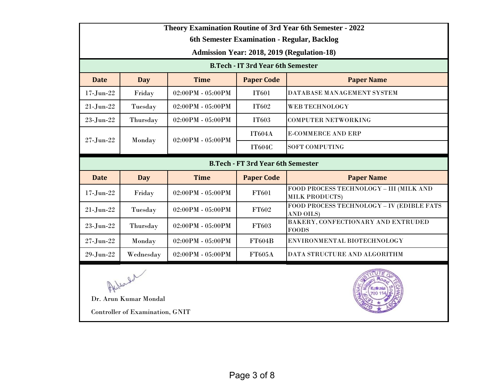|                                                                                                                                                                                                                                                                  | Theory Examination Routine of 3rd Year 6th Semester - 2022 |                     |                                          |                                                                  |  |  |  |  |
|------------------------------------------------------------------------------------------------------------------------------------------------------------------------------------------------------------------------------------------------------------------|------------------------------------------------------------|---------------------|------------------------------------------|------------------------------------------------------------------|--|--|--|--|
|                                                                                                                                                                                                                                                                  | 6th Semester Examination - Regular, Backlog                |                     |                                          |                                                                  |  |  |  |  |
|                                                                                                                                                                                                                                                                  | Admission Year: 2018, 2019 (Regulation-18)                 |                     |                                          |                                                                  |  |  |  |  |
|                                                                                                                                                                                                                                                                  |                                                            |                     | <b>B.Tech - IT 3rd Year 6th Semester</b> |                                                                  |  |  |  |  |
| <b>Paper Code</b><br><b>Time</b><br><b>Date</b><br><b>Day</b><br><b>Paper Name</b>                                                                                                                                                                               |                                                            |                     |                                          |                                                                  |  |  |  |  |
| $17 - Jun-22$                                                                                                                                                                                                                                                    | Friday                                                     | $02:00PM - 05:00PM$ | <b>IT601</b>                             | DATABASE MANAGEMENT SYSTEM                                       |  |  |  |  |
| $21$ -Jun- $22$                                                                                                                                                                                                                                                  | Tuesday                                                    | $02:00PM - 05:00PM$ | <b>IT602</b>                             | WEB TECHNOLOGY                                                   |  |  |  |  |
| $23$ -Jun- $22$                                                                                                                                                                                                                                                  | Thursday                                                   | $02:00PM - 05:00PM$ | <b>IT603</b>                             | <b>COMPUTER NETWORKING</b>                                       |  |  |  |  |
| $27 - Jun-22$                                                                                                                                                                                                                                                    |                                                            | 02:00PM - 05:00PM   | <b>IT604A</b>                            | <b>E-COMMERCE AND ERP</b>                                        |  |  |  |  |
|                                                                                                                                                                                                                                                                  | Monday                                                     |                     | <b>IT604C</b>                            | <b>SOFT COMPUTING</b>                                            |  |  |  |  |
|                                                                                                                                                                                                                                                                  |                                                            |                     | <b>B.Tech - FT 3rd Year 6th Semester</b> |                                                                  |  |  |  |  |
| <b>Date</b>                                                                                                                                                                                                                                                      | <b>Day</b>                                                 | <b>Time</b>         | <b>Paper Code</b>                        | <b>Paper Name</b>                                                |  |  |  |  |
| $17 - Jun-22$                                                                                                                                                                                                                                                    | Friday                                                     | $02:00PM - 05:00PM$ | FT601                                    | FOOD PROCESS TECHNOLOGY - III (MILK AND<br><b>MILK PRODUCTS)</b> |  |  |  |  |
| $21$ -Jun- $22$                                                                                                                                                                                                                                                  | Tuesday                                                    | 02:00PM - 05:00PM   | FT602                                    | FOOD PROCESS TECHNOLOGY - IV (EDIBLE FATS<br>AND OILS)           |  |  |  |  |
| $23$ -Jun- $22$                                                                                                                                                                                                                                                  | Thursday                                                   | 02:00PM - 05:00PM   | FT603                                    | BAKERY, CONFECTIONARY AND EXTRUDED<br><b>FOODS</b>               |  |  |  |  |
| $27 - Jun-22$                                                                                                                                                                                                                                                    | Monday                                                     | 02:00PM - 05:00PM   | <b>FT604B</b>                            | ENVIRONMENTAL BIOTECHNOLOGY                                      |  |  |  |  |
| $29$ -Jun- $22$                                                                                                                                                                                                                                                  | Wednesday                                                  | $02:00PM - 05:00PM$ | <b>FT605A</b>                            | DATA STRUCTURE AND ALGORITHM                                     |  |  |  |  |
| <b>Property of the Contract of the Contract of the Contract of the Contract of the Contract of the Contract of the Contract of the Contract of The Contract of The Contract of The Contract of The Contract of The Contract of T</b><br>$\overline{\phantom{a}}$ |                                                            |                     |                                          |                                                                  |  |  |  |  |

Dr. Arun Kumar Mondal

Controller of Examination, GNIT

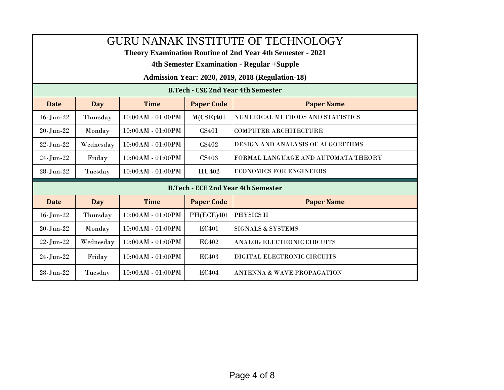| <b>GURU NANAK INSTITUTE OF TECHNOLOGY</b>                  |                                                                     |                     |                   |                                           |  |  |  |  |
|------------------------------------------------------------|---------------------------------------------------------------------|---------------------|-------------------|-------------------------------------------|--|--|--|--|
| Theory Examination Routine of 2nd Year 4th Semester - 2021 |                                                                     |                     |                   |                                           |  |  |  |  |
|                                                            | 4th Semester Examination - Regular +Supple                          |                     |                   |                                           |  |  |  |  |
|                                                            | <b>Admission Year: 2020, 2019, 2018 (Regulation-18)</b>             |                     |                   |                                           |  |  |  |  |
|                                                            |                                                                     |                     |                   | <b>B.Tech - CSE 2nd Year 4th Semester</b> |  |  |  |  |
| <b>Date</b>                                                | <b>Time</b><br><b>Paper Code</b><br><b>Day</b><br><b>Paper Name</b> |                     |                   |                                           |  |  |  |  |
| $16$ -Jun-22                                               | Thursday                                                            | 10:00AM - 01:00PM   | M(CSE)401         | NUMERICAL METHODS AND STATISTICS          |  |  |  |  |
| $20$ -Jun- $22$                                            | Monday                                                              | 10:00AM - 01:00PM   | <b>CS401</b>      | <b>COMPUTER ARCHITECTURE</b>              |  |  |  |  |
| $22$ -Jun- $22$                                            | Wednesday                                                           | 10:00AM - 01:00PM   | CS402             | <b>DESIGN AND ANALYSIS OF ALGORITHMS</b>  |  |  |  |  |
| $24$ -Jun- $22$                                            | Friday                                                              | 10:00AM - 01:00PM   | <b>CS403</b>      | FORMAL LANGUAGE AND AUTOMATA THEORY       |  |  |  |  |
| $28$ -Jun- $22$                                            | Tuesday                                                             | $10:00AM - 01:00PM$ | HU402             | <b>ECONOMICS FOR ENGINEERS</b>            |  |  |  |  |
|                                                            | <b>B.Tech - ECE 2nd Year 4th Semester</b>                           |                     |                   |                                           |  |  |  |  |
| <b>Date</b>                                                | <b>Day</b>                                                          | <b>Time</b>         | <b>Paper Code</b> | <b>Paper Name</b>                         |  |  |  |  |
| $16$ -Jun-22                                               | Thursday                                                            | 10:00AM - 01:00PM   | PH(ECE)401        | PHYSICS II                                |  |  |  |  |
| $20$ -Jun- $22$                                            | Monday                                                              | 10:00AM - 01:00PM   | EC401             | <b>SIGNALS &amp; SYSTEMS</b>              |  |  |  |  |
| $22$ -Jun- $22$                                            | Wednesday                                                           | 10:00AM - 01:00PM   | EC402             | <b>ANALOG ELECTRONIC CIRCUITS</b>         |  |  |  |  |
| $24$ -Jun- $22$                                            | Friday                                                              | 10:00AM - 01:00PM   | <b>EC403</b>      | DIGITAL ELECTRONIC CIRCUITS               |  |  |  |  |
| 28-Jun-22                                                  | Tuesday                                                             | $10:00AM - 01:00PM$ | <b>EC404</b>      | <b>ANTENNA &amp; WAVE PROPAGATION</b>     |  |  |  |  |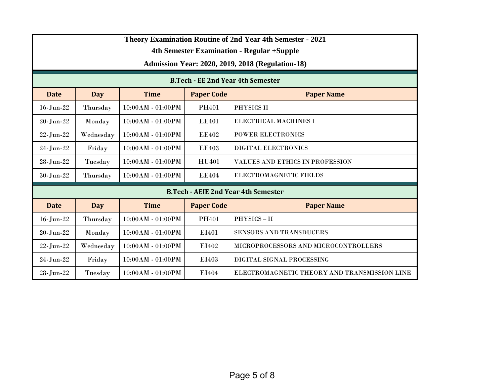| <b>Theory Examination Routine of 2nd Year 4th Semester - 2021</b> |                                                                     |                     |                   |                                              |  |  |  |  |
|-------------------------------------------------------------------|---------------------------------------------------------------------|---------------------|-------------------|----------------------------------------------|--|--|--|--|
| 4th Semester Examination - Regular + Supple                       |                                                                     |                     |                   |                                              |  |  |  |  |
|                                                                   | <b>Admission Year: 2020, 2019, 2018 (Regulation-18)</b>             |                     |                   |                                              |  |  |  |  |
| <b>B.Tech - EE 2nd Year 4th Semester</b>                          |                                                                     |                     |                   |                                              |  |  |  |  |
| <b>Date</b>                                                       | <b>Paper Code</b><br><b>Time</b><br><b>Paper Name</b><br><b>Day</b> |                     |                   |                                              |  |  |  |  |
| $16$ -Jun-22                                                      | Thursday                                                            | $10:00AM - 01:00PM$ | PH401             | PHYSICS II                                   |  |  |  |  |
| $20$ -Jun- $22$                                                   | Monday                                                              | 10:00AM - 01:00PM   | <b>EE401</b>      | ELECTRICAL MACHINES I                        |  |  |  |  |
| $22$ -Jun- $22$                                                   | Wednesday                                                           | 10:00AM - 01:00PM   | <b>EE402</b>      | <b>POWER ELECTRONICS</b>                     |  |  |  |  |
| $24$ -Jun- $22$                                                   | Friday                                                              | 10:00AM - 01:00PM   | <b>EE403</b>      | <b>DIGITAL ELECTRONICS</b>                   |  |  |  |  |
| 28-Jun-22                                                         | Tuesday                                                             | 10:00AM - 01:00PM   | HU401             | <b>VALUES AND ETHICS IN PROFESSION</b>       |  |  |  |  |
| 30-Jun-22                                                         | Thursday                                                            | 10:00AM - 01:00PM   | <b>EE404</b>      | ELECTROMAGNETIC FIELDS                       |  |  |  |  |
|                                                                   |                                                                     |                     |                   | <b>B.Tech - AEIE 2nd Year 4th Semester</b>   |  |  |  |  |
| <b>Date</b>                                                       | <b>Day</b>                                                          | <b>Time</b>         | <b>Paper Code</b> | <b>Paper Name</b>                            |  |  |  |  |
| $16$ -Jun-22                                                      | Thursday                                                            | 10:00AM - 01:00PM   | PH401             | PHYSICS-II                                   |  |  |  |  |
| $20$ -Jun- $22$                                                   | Monday                                                              | $10:00AM - 01:00PM$ | EI401             | <b>SENSORS AND TRANSDUCERS</b>               |  |  |  |  |
| $22$ -Jun- $22$                                                   | Wednesday                                                           | 10:00AM - 01:00PM   | EI402             | MICROPROCESSORS AND MICROCONTROLLERS         |  |  |  |  |
| $24$ -Jun-22                                                      | Friday                                                              | 10:00AM - 01:00PM   | EI403             | DIGITAL SIGNAL PROCESSING                    |  |  |  |  |
| 28-Jun-22                                                         | Tuesday                                                             | 10:00AM - 01:00PM   | EI404             | ELECTROMAGNETIC THEORY AND TRANSMISSION LINE |  |  |  |  |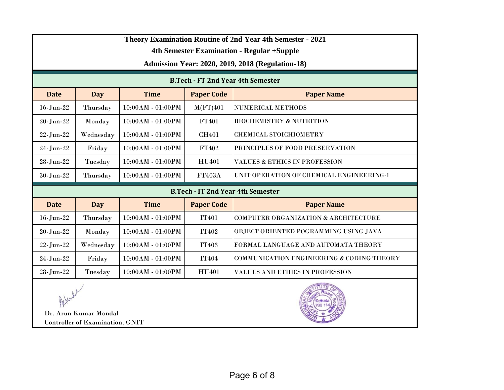| Theory Examination Routine of 2nd Year 4th Semester - 2021<br><b>4th Semester Examination - Regular +Supple</b> |                                                         |                     |                   |                                                      |  |  |  |
|-----------------------------------------------------------------------------------------------------------------|---------------------------------------------------------|---------------------|-------------------|------------------------------------------------------|--|--|--|
|                                                                                                                 | <b>Admission Year: 2020, 2019, 2018 (Regulation-18)</b> |                     |                   |                                                      |  |  |  |
|                                                                                                                 | <b>B.Tech - FT 2nd Year 4th Semester</b>                |                     |                   |                                                      |  |  |  |
| <b>Date</b>                                                                                                     | <b>Day</b>                                              | <b>Time</b>         | <b>Paper Code</b> | <b>Paper Name</b>                                    |  |  |  |
| 16-Jun-22                                                                                                       | Thursday                                                | 10:00AM - 01:00PM   | M(FT)401          | <b>NUMERICAL METHODS</b>                             |  |  |  |
| 20-Jun-22                                                                                                       | Monday                                                  | 10:00AM - 01:00PM   | FT401             | <b>BIOCHEMISTRY &amp; NUTRITION</b>                  |  |  |  |
| $22$ -Jun- $22$                                                                                                 | Wednesday                                               | 10:00AM - 01:00PM   | <b>CH401</b>      | <b>CHEMICAL STOICHIOMETRY</b>                        |  |  |  |
| $24$ -Jun- $22$                                                                                                 | Friday                                                  | 10:00AM - 01:00PM   | FT402             | <b>PRINCIPLES OF FOOD PRESERVATION</b>               |  |  |  |
| $28$ -Jun- $22$                                                                                                 | Tuesday                                                 | $10:00AM - 01:00PM$ | HU401             | <b>VALUES &amp; ETHICS IN PROFESSION</b>             |  |  |  |
| 30-Jun-22                                                                                                       | Thursday                                                | 10:00AM - 01:00PM   | <b>FT403A</b>     | UNIT OPERATION OF CHEMICAL ENGINEERING-1             |  |  |  |
|                                                                                                                 |                                                         |                     |                   | <b>B.Tech - IT 2nd Year 4th Semester</b>             |  |  |  |
| <b>Date</b>                                                                                                     | <b>Day</b>                                              | <b>Time</b>         | <b>Paper Code</b> | <b>Paper Name</b>                                    |  |  |  |
| 16-Jun-22                                                                                                       | Thursday                                                | $10:00AM - 01:00PM$ | <b>IT401</b>      | <b>COMPUTER ORGANIZATION &amp; ARCHITECTURE</b>      |  |  |  |
| 20-Jun-22                                                                                                       | Monday                                                  | 10:00AM - 01:00PM   | <b>IT402</b>      | OBJECT ORIENTED POGRAMMING USING JAVA                |  |  |  |
| $22$ -Jun- $22$                                                                                                 | Wednesday                                               | $10:00AM - 01:00PM$ | <b>IT403</b>      | FORMAL LANGUAGE AND AUTOMATA THEORY                  |  |  |  |
| 24-Jun-22                                                                                                       | Friday                                                  | 10:00AM - 01:00PM   | <b>IT404</b>      | <b>COMMUNICATION ENGINEERING &amp; CODING THEORY</b> |  |  |  |
| $28$ -Jun- $22$                                                                                                 | Tuesday                                                 | $10:00AM - 01:00PM$ | HU401             | <b>VALUES AND ETHICS IN PROFESSION</b>               |  |  |  |
| D. Jeaner                                                                                                       |                                                         |                     |                   |                                                      |  |  |  |

 Dr. Arun Kumar Mondal Controller of Examination, GNIT

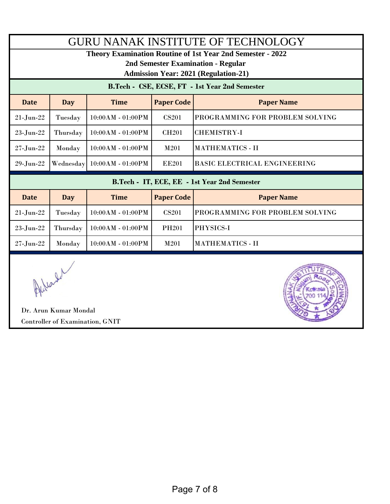| <b>GURU NANAK INSTITUTE OF TECHNOLOGY</b>                                                                                                       |                                                                     |                     |                   |                                                |  |  |  |
|-------------------------------------------------------------------------------------------------------------------------------------------------|---------------------------------------------------------------------|---------------------|-------------------|------------------------------------------------|--|--|--|
| Theory Examination Routine of 1st Year 2nd Semester - 2022<br>2nd Semester Examination - Regular<br><b>Admission Year: 2021 (Regulation-21)</b> |                                                                     |                     |                   |                                                |  |  |  |
|                                                                                                                                                 |                                                                     |                     |                   | B.Tech - CSE, ECSE, FT - 1st Year 2nd Semester |  |  |  |
| <b>Date</b>                                                                                                                                     | <b>Paper Code</b><br><b>Day</b><br><b>Time</b><br><b>Paper Name</b> |                     |                   |                                                |  |  |  |
| $21$ -Jun-22                                                                                                                                    | Tuesday                                                             | $10:00AM - 01:00PM$ | <b>CS201</b>      | PROGRAMMING FOR PROBLEM SOLVING                |  |  |  |
| 23-Jun-22                                                                                                                                       | Thursday                                                            | $10:00AM - 01:00PM$ | CH <sub>201</sub> | <b>CHEMISTRY-I</b>                             |  |  |  |
| $27 - Jun-22$                                                                                                                                   | Monday                                                              | 10:00AM - 01:00PM   | M201              | <b>MATHEMATICS - II</b>                        |  |  |  |
| $29$ -Jun- $22$                                                                                                                                 | Wednesday                                                           | 10:00AM - 01:00PM   | <b>EE201</b>      | <b>BASIC ELECTRICAL ENGINEERING</b>            |  |  |  |
|                                                                                                                                                 | B.Tech - IT, ECE, EE - 1st Year 2nd Semester                        |                     |                   |                                                |  |  |  |
| <b>Date</b>                                                                                                                                     | <b>Time</b><br><b>Paper Code</b><br><b>Day</b><br><b>Paper Name</b> |                     |                   |                                                |  |  |  |
| $21-Jun-22$                                                                                                                                     | Tuesday                                                             | 10:00AM - 01:00PM   | <b>CS201</b>      | PROGRAMMING FOR PROBLEM SOLVING                |  |  |  |
| 23-Jun-22                                                                                                                                       | Thursday                                                            | 10:00AM - 01:00PM   | <b>PH201</b>      | PHYSICS-I                                      |  |  |  |
| $27 - Jun-22$                                                                                                                                   | Monday                                                              | $10:00AM - 01:00PM$ | M201              | <b>MATHEMATICS - II</b>                        |  |  |  |

Alderald

 Dr. Arun Kumar Mondal Controller of Examination, GNIT